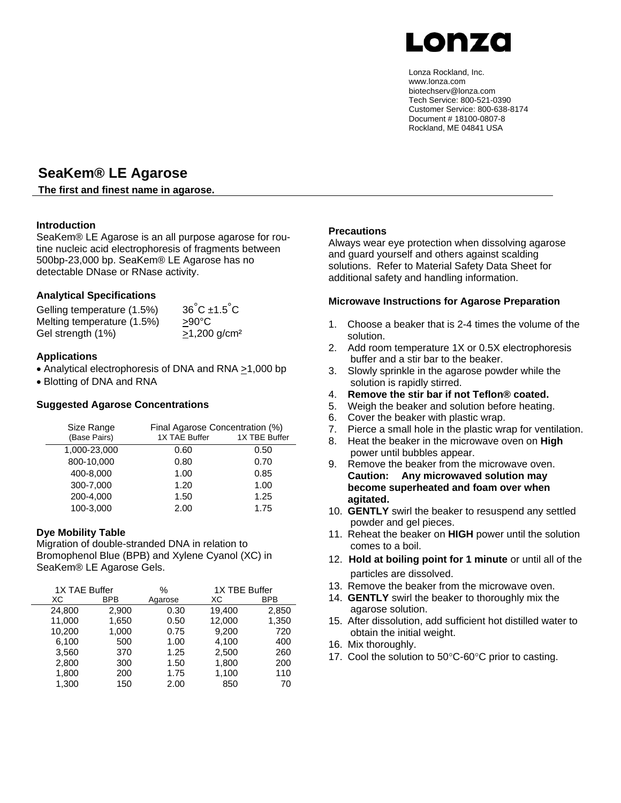

Lonza Rockland, Inc. www.lonza.com biotechserv@lonza.com Tech Service: 800-521-0390 Customer Service: 800-638-8174 Document # 18100-0807-8 Rockland, ME 04841 USA

# **SeaKem® LE Agarose**

#### **The first and finest name in agarose.**

# **Introduction**

SeaKem® LE Agarose is an all purpose agarose for routine nucleic acid electrophoresis of fragments between 500bp-23,000 bp. SeaKem® LE Agarose has no detectable DNase or RNase activity.

# **Analytical Specifications**

Gelling temperature (1.5%) 36°C ±1.5°C Melting temperature (1.5%) >90°C Gel strength  $(1%)$   $\geq 1,200$  g/cm<sup>2</sup>

#### **Applications**

• Analytical electrophoresis of DNA and RNA >1,000 bp

• Blotting of DNA and RNA

#### **Suggested Agarose Concentrations**

| Size Range<br>(Base Pairs) | 1X TAE Buffer | Final Agarose Concentration (%)<br>1X TBE Buffer |  |
|----------------------------|---------------|--------------------------------------------------|--|
| 1,000-23,000               | 0.60          | 0.50                                             |  |
| 800-10,000                 | 0.80          | 0.70                                             |  |
| 400-8,000                  | 1.00          | 0.85                                             |  |
| 300-7,000                  | 1.20          | 1.00                                             |  |
| 200-4,000                  | 1.50          | 1.25                                             |  |
| 100-3,000                  | 2.00          | 1.75                                             |  |

#### **Dye Mobility Table**

Migration of double-stranded DNA in relation to Bromophenol Blue (BPB) and Xylene Cyanol (XC) in SeaKem® LE Agarose Gels.

| 1X TAE Buffer |            | 1X TBE Buffer<br>% |        |            |
|---------------|------------|--------------------|--------|------------|
| ХC            | <b>BPB</b> | Agarose            | ХC     | <b>BPB</b> |
| 24,800        | 2,900      | 0.30               | 19,400 | 2,850      |
| 11,000        | 1,650      | 0.50               | 12,000 | 1,350      |
| 10,200        | 1,000      | 0.75               | 9,200  | 720        |
| 6,100         | 500        | 1.00               | 4,100  | 400        |
| 3,560         | 370        | 1.25               | 2,500  | 260        |
| 2,800         | 300        | 1.50               | 1,800  | 200        |
| 1,800         | 200        | 1.75               | 1,100  | 110        |
| 1.300         | 150        | 2.00               | 850    | 70         |

#### **Precautions**

Always wear eye protection when dissolving agarose and guard yourself and others against scalding solutions. Refer to Material Safety Data Sheet for additional safety and handling information.

#### **Microwave Instructions for Agarose Preparation**

- 1. Choose a beaker that is 2-4 times the volume of the solution.
- 2. Add room temperature 1X or 0.5X electrophoresis buffer and a stir bar to the beaker.
- 3. Slowly sprinkle in the agarose powder while the solution is rapidly stirred.
- 4. **Remove the stir bar if not Teflon® coated.**
- 5. Weigh the beaker and solution before heating.
- 6. Cover the beaker with plastic wrap.
- 7. Pierce a small hole in the plastic wrap for ventilation.
- 8. Heat the beaker in the microwave oven on **High** power until bubbles appear.
- 9. Remove the beaker from the microwave oven. **Caution: Any microwaved solution may become superheated and foam over when agitated.**
- 10. **GENTLY** swirl the beaker to resuspend any settled powder and gel pieces.
- 11. Reheat the beaker on **HIGH** power until the solution comes to a boil.
- 12. **Hold at boiling point for 1 minute** or until all of the particles are dissolved.
- 13. Remove the beaker from the microwave oven.
- 14. **GENTLY** swirl the beaker to thoroughly mix the agarose solution.
- 15. After dissolution, add sufficient hot distilled water to obtain the initial weight.
- 16. Mix thoroughly.
- 17. Cool the solution to 50°C-60°C prior to casting.